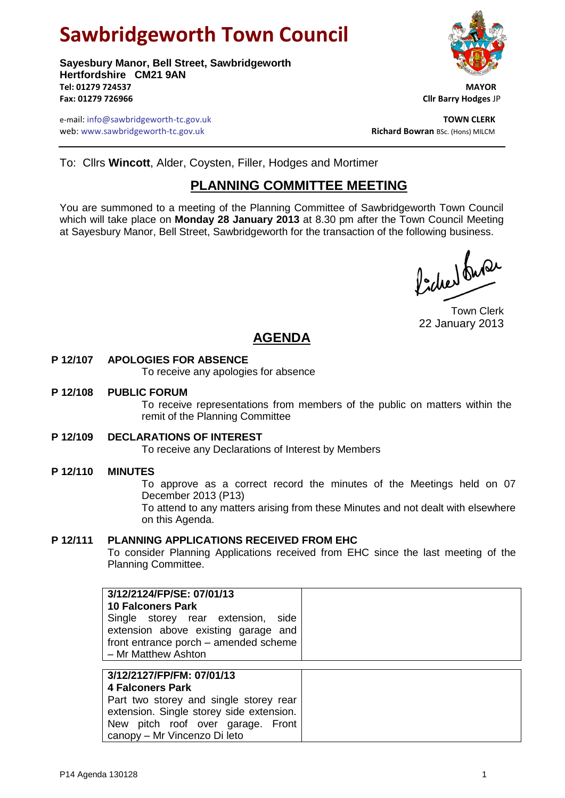# **Sawbridgeworth Town Council**

**Sayesbury Manor, Bell Street, Sawbridgeworth Hertfordshire CM21 9AN Tel: 01279 724537 MAYOR Fax: 01279 726966 Cllr Barry Hodges** JP

e-mail: info@sawbridgeworth-tc.gov.uk **TOWN CLERK** web: www.sawbridgeworth-tc.gov.uk<br> **Richard Bowran** BSc. (Hons) MILCM



To: Cllrs **Wincott**, Alder, Coysten, Filler, Hodges and Mortimer

# **PLANNING COMMITTEE MEETING**

You are summoned to a meeting of the Planning Committee of Sawbridgeworth Town Council which will take place on **Monday 28 January 2013** at 8.30 pm after the Town Council Meeting at Sayesbury Manor, Bell Street, Sawbridgeworth for the transaction of the following business.

Picked fuse

Town Clerk 22 January 2013

# **AGENDA**

# **P 12/107 APOLOGIES FOR ABSENCE**

To receive any apologies for absence

#### **P 12/108 PUBLIC FORUM**

To receive representations from members of the public on matters within the remit of the Planning Committee

# **P 12/109 DECLARATIONS OF INTEREST**

To receive any Declarations of Interest by Members

# **P 12/110 MINUTES**

To approve as a correct record the minutes of the Meetings held on 07 December 2013 (P13)

To attend to any matters arising from these Minutes and not dealt with elsewhere on this Agenda.

# **P 12/111 PLANNING APPLICATIONS RECEIVED FROM EHC**

To consider Planning Applications received from EHC since the last meeting of the Planning Committee.

|  | 3/12/2124/FP/SE: 07/01/13<br><b>10 Falconers Park</b><br>Single storey rear extension,<br>side<br>extension above existing garage and<br>front entrance porch - amended scheme<br>- Mr Matthew Ashton |  |
|--|-------------------------------------------------------------------------------------------------------------------------------------------------------------------------------------------------------|--|
|--|-------------------------------------------------------------------------------------------------------------------------------------------------------------------------------------------------------|--|

| 3/12/2127/FP/FM: 07/01/13                |
|------------------------------------------|
| 4 Falconers Park                         |
| Part two storey and single storey rear   |
| extension. Single storey side extension. |
| New pitch roof over garage. Front        |
| canopy - Mr Vincenzo Di leto             |